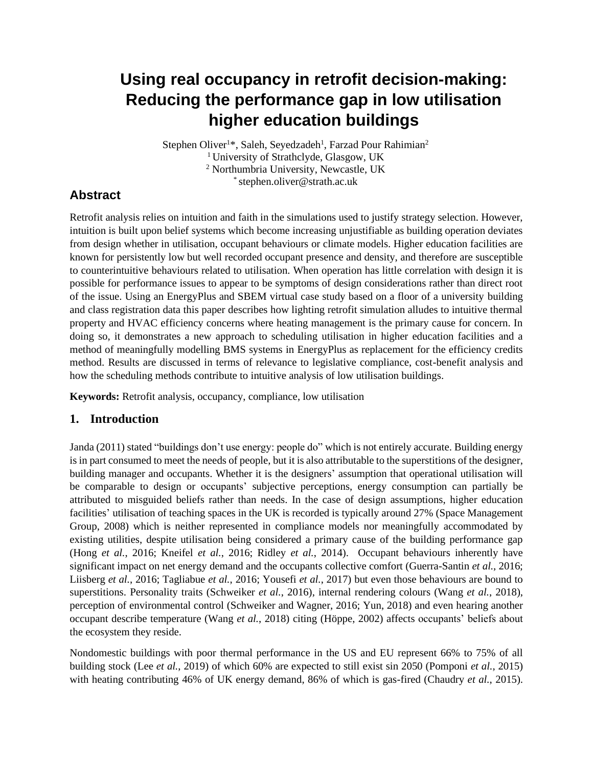# **Using real occupancy in retrofit decision-making: Reducing the performance gap in low utilisation higher education buildings**

Stephen Oliver<sup>1\*</sup>, Saleh, Seyedzadeh<sup>1</sup>, Farzad Pour Rahimian<sup>2</sup> <sup>1</sup> University of Strathclyde, Glasgow, UK <sup>2</sup> Northumbria University, Newcastle, UK \* stephen.oliver@strath.ac.uk

## **Abstract**

Retrofit analysis relies on intuition and faith in the simulations used to justify strategy selection. However, intuition is built upon belief systems which become increasing unjustifiable as building operation deviates from design whether in utilisation, occupant behaviours or climate models. Higher education facilities are known for persistently low but well recorded occupant presence and density, and therefore are susceptible to counterintuitive behaviours related to utilisation. When operation has little correlation with design it is possible for performance issues to appear to be symptoms of design considerations rather than direct root of the issue. Using an EnergyPlus and SBEM virtual case study based on a floor of a university building and class registration data this paper describes how lighting retrofit simulation alludes to intuitive thermal property and HVAC efficiency concerns where heating management is the primary cause for concern. In doing so, it demonstrates a new approach to scheduling utilisation in higher education facilities and a method of meaningfully modelling BMS systems in EnergyPlus as replacement for the efficiency credits method. Results are discussed in terms of relevance to legislative compliance, cost-benefit analysis and how the scheduling methods contribute to intuitive analysis of low utilisation buildings.

**Keywords:** Retrofit analysis, occupancy, compliance, low utilisation

#### **1. Introduction**

Janda (2011) stated "buildings don't use energy: people do" which is not entirely accurate. Building energy is in part consumed to meet the needs of people, but it is also attributable to the superstitions of the designer, building manager and occupants. Whether it is the designers' assumption that operational utilisation will be comparable to design or occupants' subjective perceptions, energy consumption can partially be attributed to misguided beliefs rather than needs. In the case of design assumptions, higher education facilities' utilisation of teaching spaces in the UK is recorded is typically around 27% (Space Management Group, 2008) which is neither represented in compliance models nor meaningfully accommodated by existing utilities, despite utilisation being considered a primary cause of the building performance gap (Hong *et al.*, 2016; Kneifel *et al.*, 2016; Ridley *et al.*, 2014). Occupant behaviours inherently have significant impact on net energy demand and the occupants collective comfort (Guerra-Santin *et al.*, 2016; Liisberg *et al.*, 2016; Tagliabue *et al.*, 2016; Yousefi *et al.*, 2017) but even those behaviours are bound to superstitions. Personality traits (Schweiker *et al.*, 2016), internal rendering colours (Wang *et al.*, 2018), perception of environmental control (Schweiker and Wagner, 2016; Yun, 2018) and even hearing another occupant describe temperature (Wang *et al.*, 2018) citing (Höppe, 2002) affects occupants' beliefs about the ecosystem they reside.

Nondomestic buildings with poor thermal performance in the US and EU represent 66% to 75% of all building stock (Lee *et al.*, 2019) of which 60% are expected to still exist sin 2050 (Pomponi *et al.*, 2015) with heating contributing 46% of UK energy demand, 86% of which is gas-fired (Chaudry *et al.*, 2015).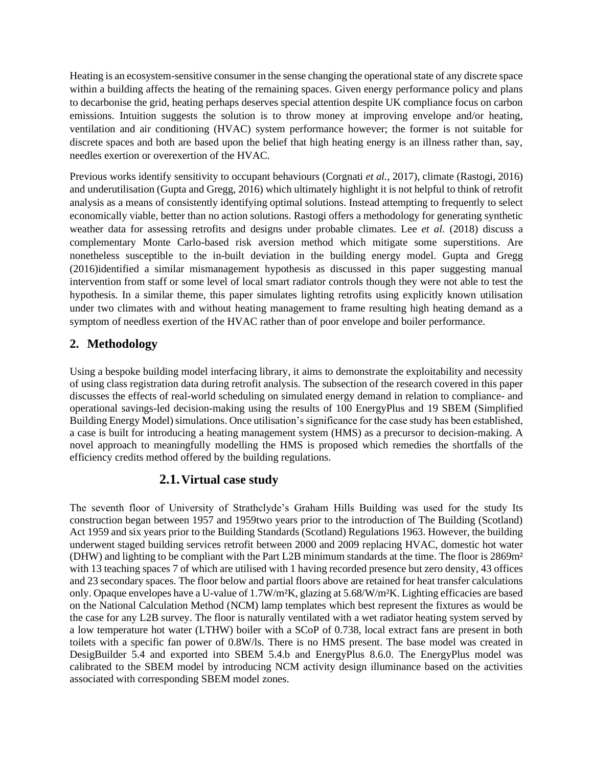Heating is an ecosystem-sensitive consumer in the sense changing the operational state of any discrete space within a building affects the heating of the remaining spaces. Given energy performance policy and plans to decarbonise the grid, heating perhaps deserves special attention despite UK compliance focus on carbon emissions. Intuition suggests the solution is to throw money at improving envelope and/or heating, ventilation and air conditioning (HVAC) system performance however; the former is not suitable for discrete spaces and both are based upon the belief that high heating energy is an illness rather than, say, needles exertion or overexertion of the HVAC.

Previous works identify sensitivity to occupant behaviours (Corgnati *et al.*, 2017), climate (Rastogi, 2016) and underutilisation (Gupta and Gregg, 2016) which ultimately highlight it is not helpful to think of retrofit analysis as a means of consistently identifying optimal solutions. Instead attempting to frequently to select economically viable, better than no action solutions. Rastogi offers a methodology for generating synthetic weather data for assessing retrofits and designs under probable climates. Lee *et al.* (2018) discuss a complementary Monte Carlo-based risk aversion method which mitigate some superstitions. Are nonetheless susceptible to the in-built deviation in the building energy model. Gupta and Gregg (2016)identified a similar mismanagement hypothesis as discussed in this paper suggesting manual intervention from staff or some level of local smart radiator controls though they were not able to test the hypothesis. In a similar theme, this paper simulates lighting retrofits using explicitly known utilisation under two climates with and without heating management to frame resulting high heating demand as a symptom of needless exertion of the HVAC rather than of poor envelope and boiler performance.

## **2. Methodology**

Using a bespoke building model interfacing library, it aims to demonstrate the exploitability and necessity of using class registration data during retrofit analysis. The subsection of the research covered in this paper discusses the effects of real-world scheduling on simulated energy demand in relation to compliance- and operational savings-led decision-making using the results of 100 EnergyPlus and 19 SBEM (Simplified Building Energy Model) simulations. Once utilisation's significance for the case study has been established, a case is built for introducing a heating management system (HMS) as a precursor to decision-making. A novel approach to meaningfully modelling the HMS is proposed which remedies the shortfalls of the efficiency credits method offered by the building regulations.

#### **2.1.Virtual case study**

The seventh floor of University of Strathclyde's Graham Hills Building was used for the study Its construction began between 1957 and 1959two years prior to the introduction of The Building (Scotland) Act 1959 and six years prior to the Building Standards (Scotland) Regulations 1963. However, the building underwent staged building services retrofit between 2000 and 2009 replacing HVAC, domestic hot water (DHW) and lighting to be compliant with the Part L2B minimum standards at the time. The floor is 2869m² with 13 teaching spaces 7 of which are utilised with 1 having recorded presence but zero density, 43 offices and 23 secondary spaces. The floor below and partial floors above are retained for heat transfer calculations only. Opaque envelopes have a U-value of 1.7W/m²K, glazing at 5.68/W/m²K. Lighting efficacies are based on the National Calculation Method (NCM) lamp templates which best represent the fixtures as would be the case for any L2B survey. The floor is naturally ventilated with a wet radiator heating system served by a low temperature hot water (LTHW) boiler with a SCoP of 0.738, local extract fans are present in both toilets with a specific fan power of 0.8W/ls. There is no HMS present. The base model was created in DesigBuilder 5.4 and exported into SBEM 5.4.b and EnergyPlus 8.6.0. The EnergyPlus model was calibrated to the SBEM model by introducing NCM activity design illuminance based on the activities associated with corresponding SBEM model zones.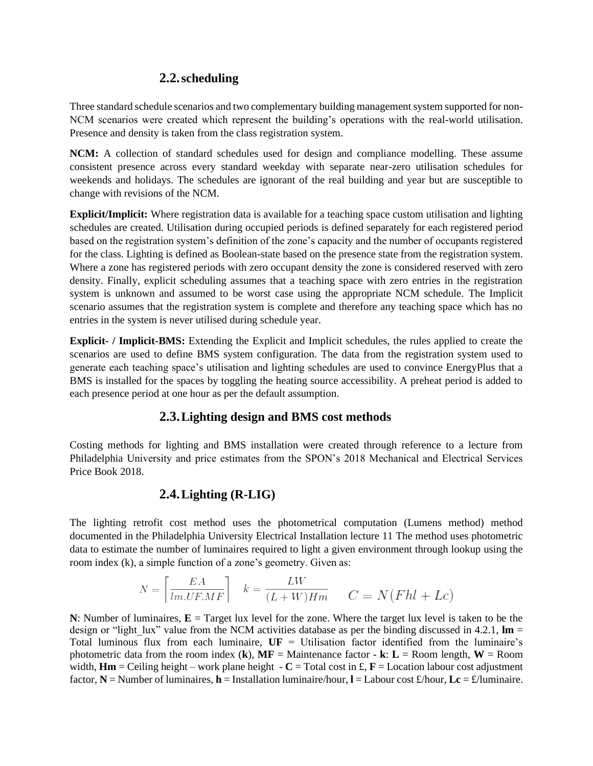## **2.2.scheduling**

Three standard schedule scenarios and two complementary building management system supported for non-NCM scenarios were created which represent the building's operations with the real-world utilisation. Presence and density is taken from the class registration system.

**NCM:** A collection of standard schedules used for design and compliance modelling. These assume consistent presence across every standard weekday with separate near-zero utilisation schedules for weekends and holidays. The schedules are ignorant of the real building and year but are susceptible to change with revisions of the NCM.

**Explicit/Implicit:** Where registration data is available for a teaching space custom utilisation and lighting schedules are created. Utilisation during occupied periods is defined separately for each registered period based on the registration system's definition of the zone's capacity and the number of occupants registered for the class. Lighting is defined as Boolean-state based on the presence state from the registration system. Where a zone has registered periods with zero occupant density the zone is considered reserved with zero density. Finally, explicit scheduling assumes that a teaching space with zero entries in the registration system is unknown and assumed to be worst case using the appropriate NCM schedule. The Implicit scenario assumes that the registration system is complete and therefore any teaching space which has no entries in the system is never utilised during schedule year.

**Explicit- / Implicit-BMS:** Extending the Explicit and Implicit schedules, the rules applied to create the scenarios are used to define BMS system configuration. The data from the registration system used to generate each teaching space's utilisation and lighting schedules are used to convince EnergyPlus that a BMS is installed for the spaces by toggling the heating source accessibility. A preheat period is added to each presence period at one hour as per the default assumption.

#### **2.3.Lighting design and BMS cost methods**

Costing methods for lighting and BMS installation were created through reference to a lecture from Philadelphia University and price estimates from the SPON's 2018 Mechanical and Electrical Services Price Book 2018.

## **2.4.Lighting (R-LIG)**

The lighting retrofit cost method uses the photometrical computation (Lumens method) method documented in the Philadelphia University Electrical Installation lecture 11 The method uses photometric data to estimate the number of luminaires required to light a given environment through lookup using the room index (k), a simple function of a zone's geometry. Given as:

$$
N = \left\lceil \frac{EA}{lm.UF.MF} \right\rceil \quad k = \frac{LW}{(L+W)Hm} \qquad C = N(Fhl + Lc)
$$

**N**: Number of luminaires,  $\mathbf{E} =$  Target lux level for the zone. Where the target lux level is taken to be the design or "light lux" value from the NCM activities database as per the binding discussed in 4.2.1,  $\text{Im} =$ Total luminous flux from each luminaire, **UF** = Utilisation factor identified from the luminaire's photometric data from the room index  $(k)$ ,  $MF =$  Maintenance factor - **k**:  $L =$  Room length,  $W =$  Room width,  $\mathbf{Hm} =$  Ceiling height – work plane height  $\cdot$  C = Total cost in £,  $\mathbf{F} =$  Location labour cost adjustment factor,  $N =$  Number of luminaires,  $h =$  Installation luminaire/hour,  $l =$  Labour cost £/hour,  $Lc =$  £/luminaire.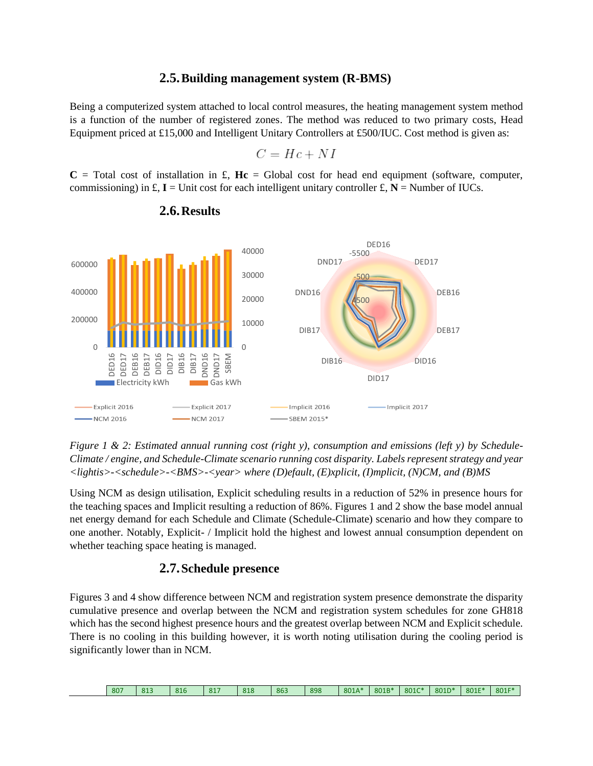#### **2.5.Building management system (R-BMS)**

Being a computerized system attached to local control measures, the heating management system method is a function of the number of registered zones. The method was reduced to two primary costs, Head Equipment priced at £15,000 and Intelligent Unitary Controllers at £500/IUC. Cost method is given as:

$$
C = Hc + NI
$$

 $C = \text{Total cost of installation in } \pounds$ ,  $Hc = \text{Global cost for head end equipment (software, computer,$ commissioning) in  $\mathbf{f}$ ,  $\mathbf{I} =$  Unit cost for each intelligent unitary controller  $\mathbf{f}$ ,  $\mathbf{N} =$  Number of IUCs.



**2.6.Results**

*Figure 1 & 2: Estimated annual running cost (right y), consumption and emissions (left y) by Schedule-Climate / engine, and Schedule-Climate scenario running cost disparity. Labels represent strategy and year <lightis>-<schedule>-<BMS>-<year> where (D)efault, (E)xplicit, (I)mplicit, (N)CM, and (B)MS*

Using NCM as design utilisation, Explicit scheduling results in a reduction of 52% in presence hours for the teaching spaces and Implicit resulting a reduction of 86%. Figures 1 and 2 show the base model annual net energy demand for each Schedule and Climate (Schedule-Climate) scenario and how they compare to one another. Notably, Explicit- / Implicit hold the highest and lowest annual consumption dependent on whether teaching space heating is managed.

#### **2.7.Schedule presence**

Figures 3 and 4 show difference between NCM and registration system presence demonstrate the disparity cumulative presence and overlap between the NCM and registration system schedules for zone GH818 which has the second highest presence hours and the greatest overlap between NCM and Explicit schedule. There is no cooling in this building however, it is worth noting utilisation during the cooling period is significantly lower than in NCM.

| 807 | 01 <sup>7</sup><br>O.L. | 816 | $-0.1$ <sup>-</sup><br><b>OI</b> | 010<br>010 | 863 | 898 | 801A* | 801B* | 801C* | 801D* | 801E* | 801F* |
|-----|-------------------------|-----|----------------------------------|------------|-----|-----|-------|-------|-------|-------|-------|-------|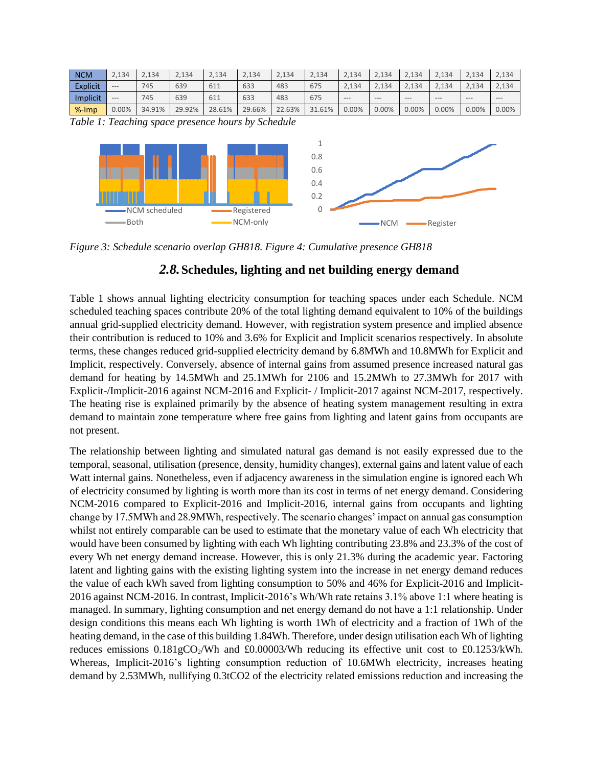| <b>NCM</b>      | 2.134   | 2.134 | 2,134 | 2.134 | 2.134 | 2,134 | 2.134 | 2.134 | 2.134 | 2.134 | 2.134 | 2.134 | 2.134   |
|-----------------|---------|-------|-------|-------|-------|-------|-------|-------|-------|-------|-------|-------|---------|
| <b>Explicit</b> | $- - -$ | 745   | 639   | 611   | 633   | 483   | 675   | 2,134 | 2.134 | 2,134 | 2,134 | 2.134 | 2,134   |
|                 |         |       |       |       |       |       |       |       |       |       |       |       |         |
| Implicit        | $---$   | 745   | 639   | 611   | 633   | 483   | 675   | $---$ | $---$ | $---$ | $---$ | $---$ | $- - -$ |

*Table 1: Teaching space presence hours by Schedule*



*Figure 3: Schedule scenario overlap GH818. Figure 4: Cumulative presence GH818*

#### *2.8.***Schedules, lighting and net building energy demand**

Table 1 shows annual lighting electricity consumption for teaching spaces under each Schedule. NCM scheduled teaching spaces contribute 20% of the total lighting demand equivalent to 10% of the buildings annual grid-supplied electricity demand. However, with registration system presence and implied absence their contribution is reduced to 10% and 3.6% for Explicit and Implicit scenarios respectively. In absolute terms, these changes reduced grid-supplied electricity demand by 6.8MWh and 10.8MWh for Explicit and Implicit, respectively. Conversely, absence of internal gains from assumed presence increased natural gas demand for heating by 14.5MWh and 25.1MWh for 2106 and 15.2MWh to 27.3MWh for 2017 with Explicit-/Implicit-2016 against NCM-2016 and Explicit- / Implicit-2017 against NCM-2017, respectively. The heating rise is explained primarily by the absence of heating system management resulting in extra demand to maintain zone temperature where free gains from lighting and latent gains from occupants are not present.

The relationship between lighting and simulated natural gas demand is not easily expressed due to the temporal, seasonal, utilisation (presence, density, humidity changes), external gains and latent value of each Watt internal gains. Nonetheless, even if adjacency awareness in the simulation engine is ignored each Wh of electricity consumed by lighting is worth more than its cost in terms of net energy demand. Considering NCM-2016 compared to Explicit-2016 and Implicit-2016, internal gains from occupants and lighting change by 17.5MWh and 28.9MWh, respectively. The scenario changes' impact on annual gas consumption whilst not entirely comparable can be used to estimate that the monetary value of each Wh electricity that would have been consumed by lighting with each Wh lighting contributing 23.8% and 23.3% of the cost of every Wh net energy demand increase. However, this is only 21.3% during the academic year. Factoring latent and lighting gains with the existing lighting system into the increase in net energy demand reduces the value of each kWh saved from lighting consumption to 50% and 46% for Explicit-2016 and Implicit-2016 against NCM-2016. In contrast, Implicit-2016's Wh/Wh rate retains 3.1% above 1:1 where heating is managed. In summary, lighting consumption and net energy demand do not have a 1:1 relationship. Under design conditions this means each Wh lighting is worth 1Wh of electricity and a fraction of 1Wh of the heating demand, in the case of this building 1.84Wh. Therefore, under design utilisation each Wh of lighting reduces emissions  $0.181gCO<sub>2</sub>/Wh$  and £0.00003/Wh reducing its effective unit cost to £0.1253/kWh. Whereas, Implicit-2016's lighting consumption reduction of 10.6MWh electricity, increases heating demand by 2.53MWh, nullifying 0.3tCO2 of the electricity related emissions reduction and increasing the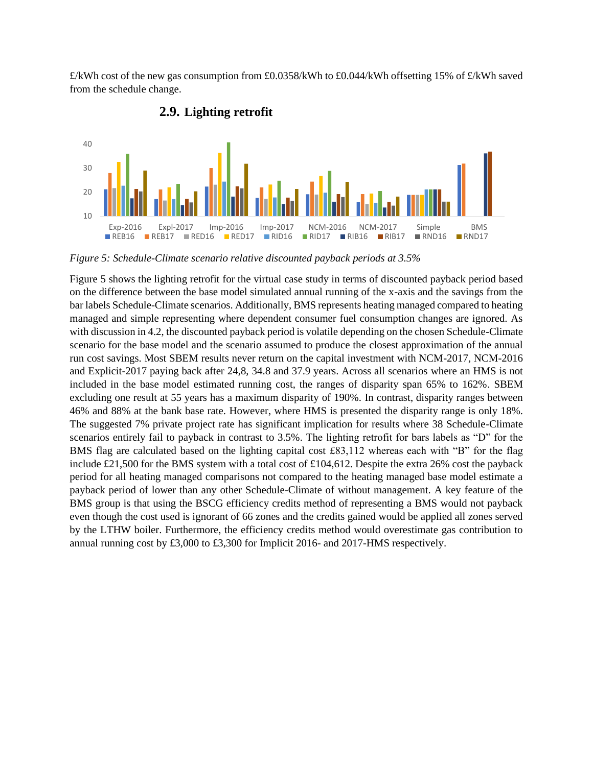£/kWh cost of the new gas consumption from £0.0358/kWh to £0.044/kWh offsetting 15% of £/kWh saved from the schedule change.



**2.9. Lighting retrofit**

*Figure 5: Schedule-Climate scenario relative discounted payback periods at 3.5%*

Figure 5 shows the lighting retrofit for the virtual case study in terms of discounted payback period based on the difference between the base model simulated annual running of the x-axis and the savings from the bar labels Schedule-Climate scenarios. Additionally, BMS represents heating managed compared to heating managed and simple representing where dependent consumer fuel consumption changes are ignored. As with discussion in 4.2, the discounted payback period is volatile depending on the chosen Schedule-Climate scenario for the base model and the scenario assumed to produce the closest approximation of the annual run cost savings. Most SBEM results never return on the capital investment with NCM-2017, NCM-2016 and Explicit-2017 paying back after 24,8, 34.8 and 37.9 years. Across all scenarios where an HMS is not included in the base model estimated running cost, the ranges of disparity span 65% to 162%. SBEM excluding one result at 55 years has a maximum disparity of 190%. In contrast, disparity ranges between 46% and 88% at the bank base rate. However, where HMS is presented the disparity range is only 18%. The suggested 7% private project rate has significant implication for results where 38 Schedule-Climate scenarios entirely fail to payback in contrast to 3.5%. The lighting retrofit for bars labels as "D" for the BMS flag are calculated based on the lighting capital cost £83,112 whereas each with "B" for the flag include £21,500 for the BMS system with a total cost of £104,612. Despite the extra 26% cost the payback period for all heating managed comparisons not compared to the heating managed base model estimate a payback period of lower than any other Schedule-Climate of without management. A key feature of the BMS group is that using the BSCG efficiency credits method of representing a BMS would not payback even though the cost used is ignorant of 66 zones and the credits gained would be applied all zones served by the LTHW boiler. Furthermore, the efficiency credits method would overestimate gas contribution to annual running cost by £3,000 to £3,300 for Implicit 2016- and 2017-HMS respectively.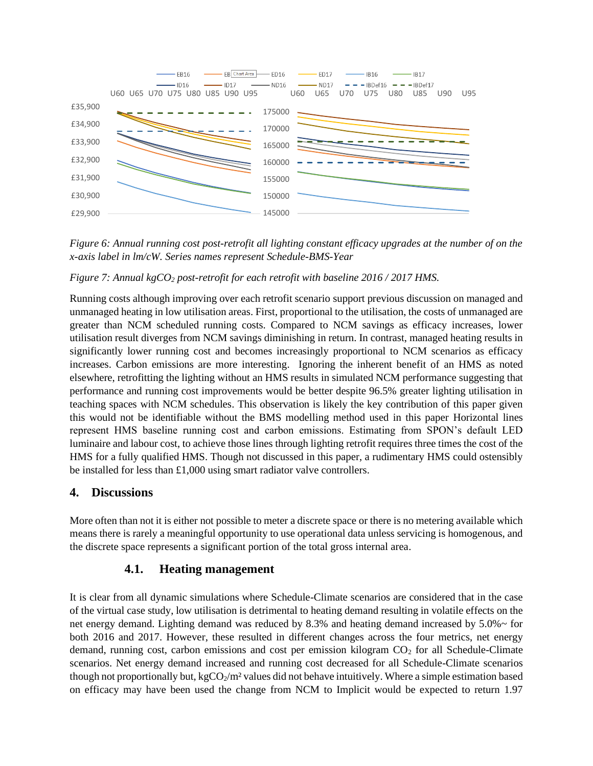

*Figure 6: Annual running cost post-retrofit all lighting constant efficacy upgrades at the number of on the x-axis label in lm/cW. Series names represent Schedule-BMS-Year*

#### *Figure 7: Annual kgCO<sup>2</sup> post-retrofit for each retrofit with baseline 2016 / 2017 HMS.*

Running costs although improving over each retrofit scenario support previous discussion on managed and unmanaged heating in low utilisation areas. First, proportional to the utilisation, the costs of unmanaged are greater than NCM scheduled running costs. Compared to NCM savings as efficacy increases, lower utilisation result diverges from NCM savings diminishing in return. In contrast, managed heating results in significantly lower running cost and becomes increasingly proportional to NCM scenarios as efficacy increases. Carbon emissions are more interesting. Ignoring the inherent benefit of an HMS as noted elsewhere, retrofitting the lighting without an HMS results in simulated NCM performance suggesting that performance and running cost improvements would be better despite 96.5% greater lighting utilisation in teaching spaces with NCM schedules. This observation is likely the key contribution of this paper given this would not be identifiable without the BMS modelling method used in this paper Horizontal lines represent HMS baseline running cost and carbon emissions. Estimating from SPON's default LED luminaire and labour cost, to achieve those lines through lighting retrofit requires three times the cost of the HMS for a fully qualified HMS. Though not discussed in this paper, a rudimentary HMS could ostensibly be installed for less than £1,000 using smart radiator valve controllers.

#### **4. Discussions**

More often than not it is either not possible to meter a discrete space or there is no metering available which means there is rarely a meaningful opportunity to use operational data unless servicing is homogenous, and the discrete space represents a significant portion of the total gross internal area.

#### **4.1. Heating management**

It is clear from all dynamic simulations where Schedule-Climate scenarios are considered that in the case of the virtual case study, low utilisation is detrimental to heating demand resulting in volatile effects on the net energy demand. Lighting demand was reduced by 8.3% and heating demand increased by 5.0%~ for both 2016 and 2017. However, these resulted in different changes across the four metrics, net energy demand, running cost, carbon emissions and cost per emission kilogram  $CO<sub>2</sub>$  for all Schedule-Climate scenarios. Net energy demand increased and running cost decreased for all Schedule-Climate scenarios though not proportionally but, kgCO $_2/m^2$  values did not behave intuitively. Where a simple estimation based on efficacy may have been used the change from NCM to Implicit would be expected to return 1.97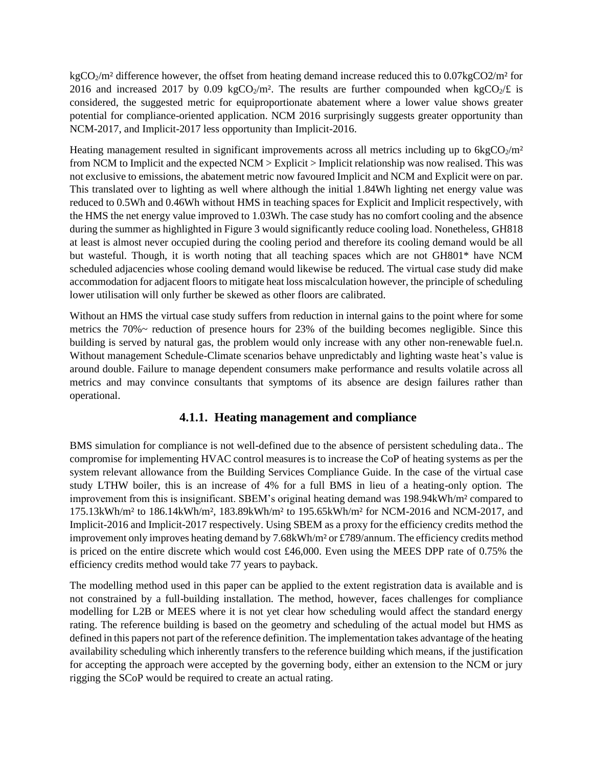$kgCO<sub>2</sub>/m<sup>2</sup>$  difference however, the offset from heating demand increase reduced this to 0.07kgCO2/m<sup>2</sup> for 2016 and increased 2017 by 0.09 kgCO<sub>2</sub>/m<sup>2</sup>. The results are further compounded when kgCO<sub>2</sub>/£ is considered, the suggested metric for equiproportionate abatement where a lower value shows greater potential for compliance-oriented application. NCM 2016 surprisingly suggests greater opportunity than NCM-2017, and Implicit-2017 less opportunity than Implicit-2016.

Heating management resulted in significant improvements across all metrics including up to  $6kgCO<sub>2</sub>/m<sup>2</sup>$ from NCM to Implicit and the expected NCM > Explicit > Implicit relationship was now realised. This was not exclusive to emissions, the abatement metric now favoured Implicit and NCM and Explicit were on par. This translated over to lighting as well where although the initial 1.84Wh lighting net energy value was reduced to 0.5Wh and 0.46Wh without HMS in teaching spaces for Explicit and Implicit respectively, with the HMS the net energy value improved to 1.03Wh. The case study has no comfort cooling and the absence during the summer as highlighted in Figure 3 would significantly reduce cooling load. Nonetheless, GH818 at least is almost never occupied during the cooling period and therefore its cooling demand would be all but wasteful. Though, it is worth noting that all teaching spaces which are not GH801\* have NCM scheduled adjacencies whose cooling demand would likewise be reduced. The virtual case study did make accommodation for adjacent floors to mitigate heat loss miscalculation however, the principle of scheduling lower utilisation will only further be skewed as other floors are calibrated.

Without an HMS the virtual case study suffers from reduction in internal gains to the point where for some metrics the 70%~ reduction of presence hours for 23% of the building becomes negligible. Since this building is served by natural gas, the problem would only increase with any other non-renewable fuel.n. Without management Schedule-Climate scenarios behave unpredictably and lighting waste heat's value is around double. Failure to manage dependent consumers make performance and results volatile across all metrics and may convince consultants that symptoms of its absence are design failures rather than operational.

#### **4.1.1. Heating management and compliance**

BMS simulation for compliance is not well-defined due to the absence of persistent scheduling data.. The compromise for implementing HVAC control measures is to increase the CoP of heating systems as per the system relevant allowance from the Building Services Compliance Guide. In the case of the virtual case study LTHW boiler, this is an increase of 4% for a full BMS in lieu of a heating-only option. The improvement from this is insignificant. SBEM's original heating demand was 198.94kWh/m² compared to 175.13kWh/m² to 186.14kWh/m², 183.89kWh/m² to 195.65kWh/m² for NCM-2016 and NCM-2017, and Implicit-2016 and Implicit-2017 respectively. Using SBEM as a proxy for the efficiency credits method the improvement only improves heating demand by 7.68kWh/m² or £789/annum. The efficiency credits method is priced on the entire discrete which would cost £46,000. Even using the MEES DPP rate of 0.75% the efficiency credits method would take 77 years to payback.

The modelling method used in this paper can be applied to the extent registration data is available and is not constrained by a full-building installation. The method, however, faces challenges for compliance modelling for L2B or MEES where it is not yet clear how scheduling would affect the standard energy rating. The reference building is based on the geometry and scheduling of the actual model but HMS as defined in this papers not part of the reference definition. The implementation takes advantage of the heating availability scheduling which inherently transfers to the reference building which means, if the justification for accepting the approach were accepted by the governing body, either an extension to the NCM or jury rigging the SCoP would be required to create an actual rating.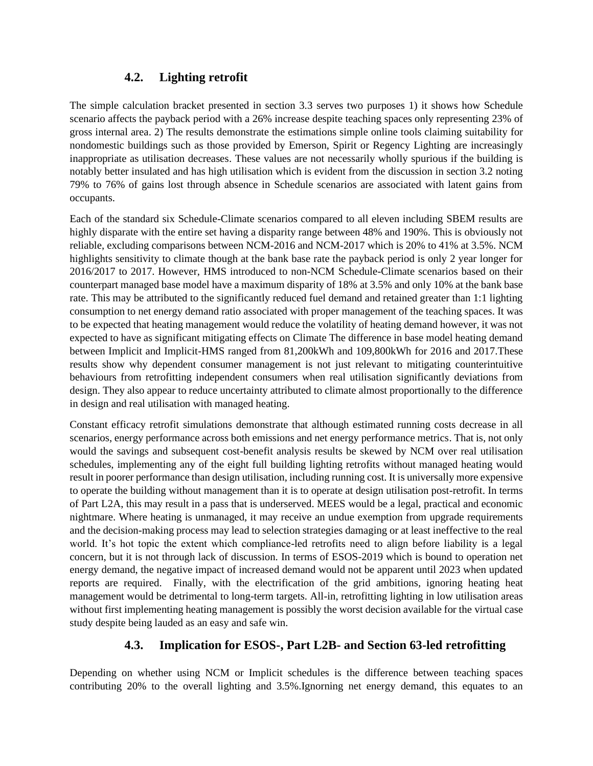## **4.2. Lighting retrofit**

The simple calculation bracket presented in section 3.3 serves two purposes 1) it shows how Schedule scenario affects the payback period with a 26% increase despite teaching spaces only representing 23% of gross internal area. 2) The results demonstrate the estimations simple online tools claiming suitability for nondomestic buildings such as those provided by Emerson, Spirit or Regency Lighting are increasingly inappropriate as utilisation decreases. These values are not necessarily wholly spurious if the building is notably better insulated and has high utilisation which is evident from the discussion in section 3.2 noting 79% to 76% of gains lost through absence in Schedule scenarios are associated with latent gains from occupants.

Each of the standard six Schedule-Climate scenarios compared to all eleven including SBEM results are highly disparate with the entire set having a disparity range between 48% and 190%. This is obviously not reliable, excluding comparisons between NCM-2016 and NCM-2017 which is 20% to 41% at 3.5%. NCM highlights sensitivity to climate though at the bank base rate the payback period is only 2 year longer for 2016/2017 to 2017. However, HMS introduced to non-NCM Schedule-Climate scenarios based on their counterpart managed base model have a maximum disparity of 18% at 3.5% and only 10% at the bank base rate. This may be attributed to the significantly reduced fuel demand and retained greater than 1:1 lighting consumption to net energy demand ratio associated with proper management of the teaching spaces. It was to be expected that heating management would reduce the volatility of heating demand however, it was not expected to have as significant mitigating effects on Climate The difference in base model heating demand between Implicit and Implicit-HMS ranged from 81,200kWh and 109,800kWh for 2016 and 2017.These results show why dependent consumer management is not just relevant to mitigating counterintuitive behaviours from retrofitting independent consumers when real utilisation significantly deviations from design. They also appear to reduce uncertainty attributed to climate almost proportionally to the difference in design and real utilisation with managed heating.

Constant efficacy retrofit simulations demonstrate that although estimated running costs decrease in all scenarios, energy performance across both emissions and net energy performance metrics. That is, not only would the savings and subsequent cost-benefit analysis results be skewed by NCM over real utilisation schedules, implementing any of the eight full building lighting retrofits without managed heating would result in poorer performance than design utilisation, including running cost. It is universally more expensive to operate the building without management than it is to operate at design utilisation post-retrofit. In terms of Part L2A, this may result in a pass that is underserved. MEES would be a legal, practical and economic nightmare. Where heating is unmanaged, it may receive an undue exemption from upgrade requirements and the decision-making process may lead to selection strategies damaging or at least ineffective to the real world. It's hot topic the extent which compliance-led retrofits need to align before liability is a legal concern, but it is not through lack of discussion. In terms of ESOS-2019 which is bound to operation net energy demand, the negative impact of increased demand would not be apparent until 2023 when updated reports are required. Finally, with the electrification of the grid ambitions, ignoring heating heat management would be detrimental to long-term targets. All-in, retrofitting lighting in low utilisation areas without first implementing heating management is possibly the worst decision available for the virtual case study despite being lauded as an easy and safe win.

## **4.3. Implication for ESOS-, Part L2B- and Section 63-led retrofitting**

Depending on whether using NCM or Implicit schedules is the difference between teaching spaces contributing 20% to the overall lighting and 3.5%.Ignorning net energy demand, this equates to an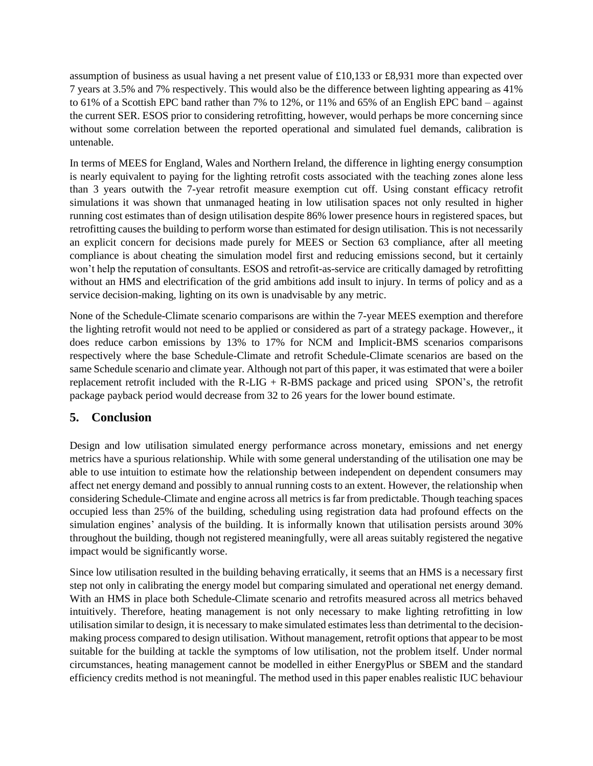assumption of business as usual having a net present value of £10,133 or £8,931 more than expected over 7 years at 3.5% and 7% respectively. This would also be the difference between lighting appearing as 41% to 61% of a Scottish EPC band rather than 7% to 12%, or 11% and 65% of an English EPC band – against the current SER. ESOS prior to considering retrofitting, however, would perhaps be more concerning since without some correlation between the reported operational and simulated fuel demands, calibration is untenable.

In terms of MEES for England, Wales and Northern Ireland, the difference in lighting energy consumption is nearly equivalent to paying for the lighting retrofit costs associated with the teaching zones alone less than 3 years outwith the 7-year retrofit measure exemption cut off. Using constant efficacy retrofit simulations it was shown that unmanaged heating in low utilisation spaces not only resulted in higher running cost estimates than of design utilisation despite 86% lower presence hours in registered spaces, but retrofitting causes the building to perform worse than estimated for design utilisation. This is not necessarily an explicit concern for decisions made purely for MEES or Section 63 compliance, after all meeting compliance is about cheating the simulation model first and reducing emissions second, but it certainly won't help the reputation of consultants. ESOS and retrofit-as-service are critically damaged by retrofitting without an HMS and electrification of the grid ambitions add insult to injury. In terms of policy and as a service decision-making, lighting on its own is unadvisable by any metric.

None of the Schedule-Climate scenario comparisons are within the 7-year MEES exemption and therefore the lighting retrofit would not need to be applied or considered as part of a strategy package. However,, it does reduce carbon emissions by 13% to 17% for NCM and Implicit-BMS scenarios comparisons respectively where the base Schedule-Climate and retrofit Schedule-Climate scenarios are based on the same Schedule scenario and climate year. Although not part of this paper, it was estimated that were a boiler replacement retrofit included with the R-LIG + R-BMS package and priced using SPON's, the retrofit package payback period would decrease from 32 to 26 years for the lower bound estimate.

#### **5. Conclusion**

Design and low utilisation simulated energy performance across monetary, emissions and net energy metrics have a spurious relationship. While with some general understanding of the utilisation one may be able to use intuition to estimate how the relationship between independent on dependent consumers may affect net energy demand and possibly to annual running costs to an extent. However, the relationship when considering Schedule-Climate and engine across all metrics is far from predictable. Though teaching spaces occupied less than 25% of the building, scheduling using registration data had profound effects on the simulation engines' analysis of the building. It is informally known that utilisation persists around 30% throughout the building, though not registered meaningfully, were all areas suitably registered the negative impact would be significantly worse.

Since low utilisation resulted in the building behaving erratically, it seems that an HMS is a necessary first step not only in calibrating the energy model but comparing simulated and operational net energy demand. With an HMS in place both Schedule-Climate scenario and retrofits measured across all metrics behaved intuitively. Therefore, heating management is not only necessary to make lighting retrofitting in low utilisation similar to design, it is necessary to make simulated estimates less than detrimental to the decisionmaking process compared to design utilisation. Without management, retrofit options that appear to be most suitable for the building at tackle the symptoms of low utilisation, not the problem itself. Under normal circumstances, heating management cannot be modelled in either EnergyPlus or SBEM and the standard efficiency credits method is not meaningful. The method used in this paper enables realistic IUC behaviour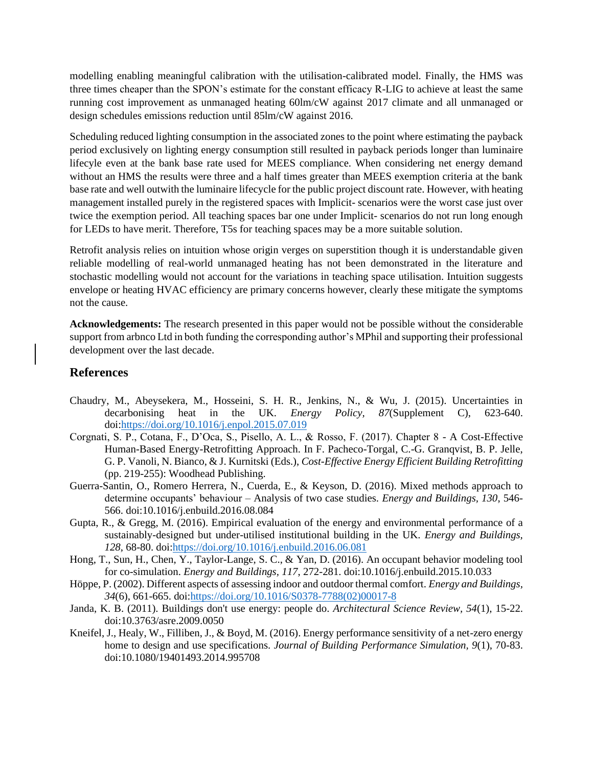modelling enabling meaningful calibration with the utilisation-calibrated model. Finally, the HMS was three times cheaper than the SPON's estimate for the constant efficacy R-LIG to achieve at least the same running cost improvement as unmanaged heating 60lm/cW against 2017 climate and all unmanaged or design schedules emissions reduction until 85lm/cW against 2016.

Scheduling reduced lighting consumption in the associated zones to the point where estimating the payback period exclusively on lighting energy consumption still resulted in payback periods longer than luminaire lifecyle even at the bank base rate used for MEES compliance. When considering net energy demand without an HMS the results were three and a half times greater than MEES exemption criteria at the bank base rate and well outwith the luminaire lifecycle for the public project discount rate. However, with heating management installed purely in the registered spaces with Implicit- scenarios were the worst case just over twice the exemption period. All teaching spaces bar one under Implicit- scenarios do not run long enough for LEDs to have merit. Therefore, T5s for teaching spaces may be a more suitable solution.

Retrofit analysis relies on intuition whose origin verges on superstition though it is understandable given reliable modelling of real-world unmanaged heating has not been demonstrated in the literature and stochastic modelling would not account for the variations in teaching space utilisation. Intuition suggests envelope or heating HVAC efficiency are primary concerns however, clearly these mitigate the symptoms not the cause.

**Acknowledgements:** The research presented in this paper would not be possible without the considerable support from arbnco Ltd in both funding the corresponding author's MPhil and supporting their professional development over the last decade.

#### **References**

- Chaudry, M., Abeysekera, M., Hosseini, S. H. R., Jenkins, N., & Wu, J. (2015). Uncertainties in decarbonising heat in the UK. *Energy Policy, 87*(Supplement C), 623-640. doi[:https://doi.org/10.1016/j.enpol.2015.07.019](https://doi.org/10.1016/j.enpol.2015.07.019)
- Corgnati, S. P., Cotana, F., D'Oca, S., Pisello, A. L., & Rosso, F. (2017). Chapter 8 A Cost-Effective Human-Based Energy-Retrofitting Approach. In F. Pacheco-Torgal, C.-G. Granqvist, B. P. Jelle, G. P. Vanoli, N. Bianco, & J. Kurnitski (Eds.), *Cost-Effective Energy Efficient Building Retrofitting* (pp. 219-255): Woodhead Publishing.
- Guerra-Santin, O., Romero Herrera, N., Cuerda, E., & Keyson, D. (2016). Mixed methods approach to determine occupants' behaviour – Analysis of two case studies. *Energy and Buildings, 130*, 546- 566. doi:10.1016/j.enbuild.2016.08.084
- Gupta, R., & Gregg, M. (2016). Empirical evaluation of the energy and environmental performance of a sustainably-designed but under-utilised institutional building in the UK. *Energy and Buildings, 128*, 68-80. doi[:https://doi.org/10.1016/j.enbuild.2016.06.081](https://doi.org/10.1016/j.enbuild.2016.06.081)
- Hong, T., Sun, H., Chen, Y., Taylor-Lange, S. C., & Yan, D. (2016). An occupant behavior modeling tool for co-simulation. *Energy and Buildings, 117*, 272-281. doi:10.1016/j.enbuild.2015.10.033
- Höppe, P. (2002). Different aspects of assessing indoor and outdoor thermal comfort. *Energy and Buildings, 34*(6), 661-665. doi[:https://doi.org/10.1016/S0378-7788\(02\)00017-8](https://doi.org/10.1016/S0378-7788(02)00017-8)
- Janda, K. B. (2011). Buildings don't use energy: people do. *Architectural Science Review, 54*(1), 15-22. doi:10.3763/asre.2009.0050
- Kneifel, J., Healy, W., Filliben, J., & Boyd, M. (2016). Energy performance sensitivity of a net-zero energy home to design and use specifications. *Journal of Building Performance Simulation, 9*(1), 70-83. doi:10.1080/19401493.2014.995708